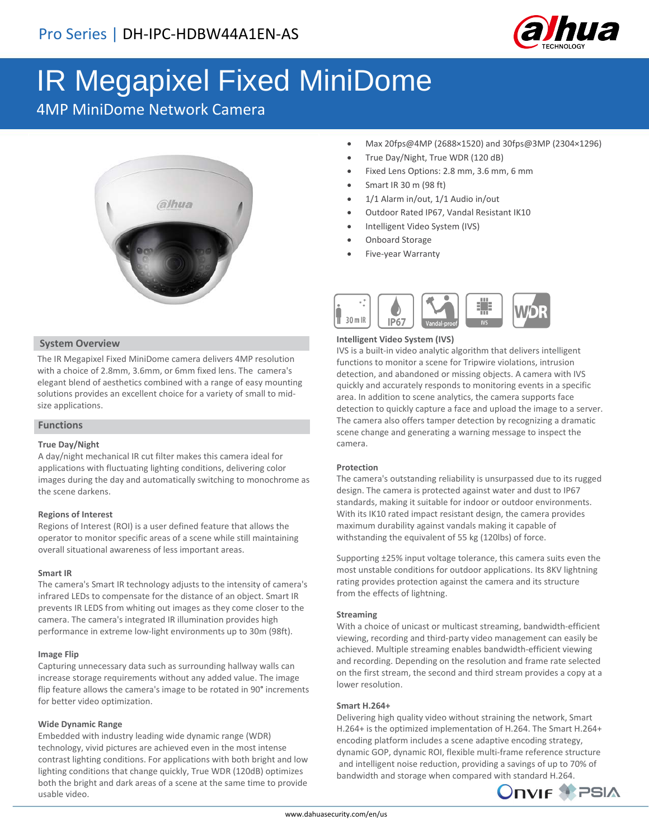

# IR Megapixel Fixed MiniDome

4MP MiniDome Network Camera



# **System Overview**

The IR Megapixel Fixed MiniDome camera delivers 4MP resolution with a choice of 2.8mm, 3.6mm, or 6mm fixed lens. The camera's elegant blend of aesthetics combined with a range of easy mounting solutions provides an excellent choice for a variety of small to midsize applications.

## **Functions**

## **True Day/Night**

A day/night mechanical IR cut filter makes this camera ideal for applications with fluctuating lighting conditions, delivering color images during the day and automatically switching to monochrome as the scene darkens.

## **Regions of Interest**

Regions of Interest (ROI) is a user defined feature that allows the operator to monitor specific areas of a scene while still maintaining overall situational awareness of less important areas.

### **Smart IR**

The camera's Smart IR technology adjusts to the intensity of camera's infrared LEDs to compensate for the distance of an object. Smart IR prevents IR LEDS from whiting out images as they come closer to the camera. The camera's integrated IR illumination provides high performance in extreme low-light environments up to 30m (98ft).

### **Image Flip**

Capturing unnecessary data such as surrounding hallway walls can increase storage requirements without any added value. The image flip feature allows the camera's image to be rotated in 90° increments for better video optimization.

### **Wide Dynamic Range**

Embedded with industry leading wide dynamic range (WDR) technology, vivid pictures are achieved even in the most intense contrast lighting conditions. For applications with both bright and low lighting conditions that change quickly, True WDR (120dB) optimizes both the bright and dark areas of a scene at the same time to provide usable video.

- Max 20fps@4MP (2688×1520) and 30fps@3MP (2304×1296)
- True Day/Night, True WDR (120 dB)
- Fixed Lens Options: 2.8 mm, 3.6 mm, 6 mm
- Smart IR 30 m (98 ft)
- 1/1 Alarm in/out, 1/1 Audio in/out
- Outdoor Rated IP67, Vandal Resistant IK10
- Intelligent Video System (IVS)
- Onboard Storage
- Five-year Warranty



### **Intelligent Video System (IVS)**

IVS is a built-in video analytic algorithm that delivers intelligent functions to monitor a scene for Tripwire violations, intrusion detection, and abandoned or missing objects. A camera with IVS quickly and accurately responds to monitoring events in a specific area. In addition to scene analytics, the camera supports face detection to quickly capture a face and upload the image to a server. The camera also offers tamper detection by recognizing a dramatic scene change and generating a warning message to inspect the camera.

## **Protection**

The camera's outstanding reliability is unsurpassed due to its rugged design. The camera is protected against water and dust to IP67 standards, making it suitable for indoor or outdoor environments. With its IK10 rated impact resistant design, the camera provides maximum durability against vandals making it capable of withstanding the equivalent of 55 kg (120lbs) of force.

Supporting ±25% input voltage tolerance, this camera suits even the most unstable conditions for outdoor applications. Its 8KV lightning rating provides protection against the camera and its structure from the effects of lightning.

## **Streaming**

With a choice of unicast or multicast streaming, bandwidth-efficient viewing, recording and third-party video management can easily be achieved. Multiple streaming enables bandwidth-efficient viewing and recording. Depending on the resolution and frame rate selected on the first stream, the second and third stream provides a copy at a lower resolution.

## **Smart H.264+**

Delivering high quality video without straining the network, Smart H.264+ is the optimized implementation of H.264. The Smart H.264+ encoding platform includes a scene adaptive encoding strategy, dynamic GOP, dynamic ROI, flexible multi-frame reference structure and intelligent noise reduction, providing a savings of up to 70% of bandwidth and storage when compared with standard H.264.

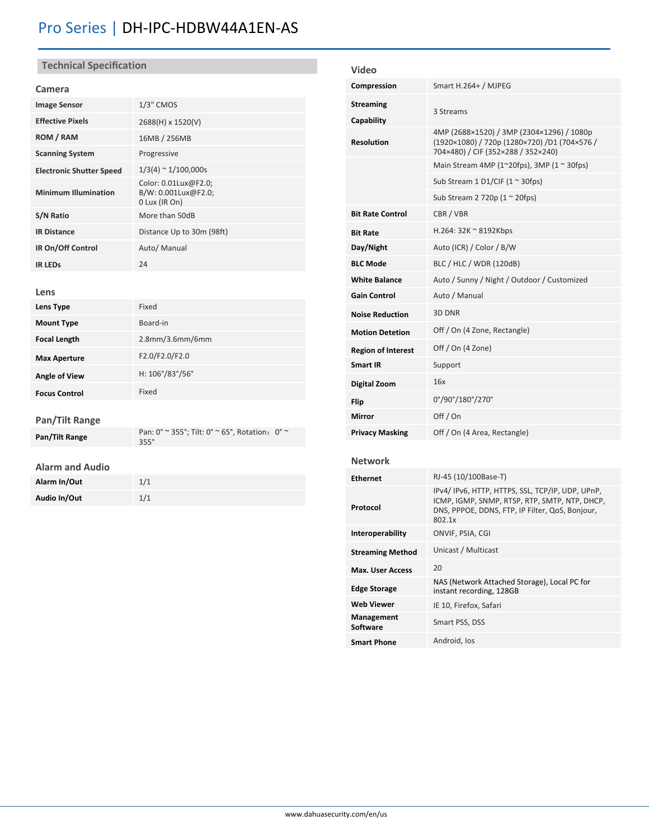# Pro Series | DH-IPC-HDBW44A1EN-AS

# **Technical Specification**

# **Camera**

| <b>Image Sensor</b>             | $1/3$ " CMOS                                                 |  |
|---------------------------------|--------------------------------------------------------------|--|
| <b>Effective Pixels</b>         | 2688(H) x 1520(V)                                            |  |
| ROM / RAM                       | 16MB / 256MB                                                 |  |
| <b>Scanning System</b>          | Progressive                                                  |  |
| <b>Electronic Shutter Speed</b> | $1/3(4) \approx 1/100,000s$                                  |  |
| <b>Minimum Illumination</b>     | Color: 0.01Lux@F2.0;<br>B/W: 0.001Lux@F2.0:<br>0 Lux (IR On) |  |
| S/N Ratio                       | More than 50dB                                               |  |
| <b>IR Distance</b>              | Distance Up to 30m (98ft)                                    |  |
| IR On/Off Control               | Auto/ Manual                                                 |  |
| <b>IR LEDS</b>                  | 74                                                           |  |

# **Lens**

| Lens Type            | Fixed                      |  |
|----------------------|----------------------------|--|
| <b>Mount Type</b>    | Board-in                   |  |
| <b>Focal Length</b>  | $2.8$ mm/ $3.6$ mm/ $6$ mm |  |
| <b>Max Aperture</b>  | F2.0/F2.0/F2.0             |  |
| <b>Angle of View</b> | H: 106°/83°/56°            |  |
| <b>Focus Control</b> | Fixed                      |  |

# **Pan/Tilt Range**

| Pan/Tilt Range | Pan: $0^\circ \approx 355^\circ$ ; Tilt: $0^\circ \approx 65^\circ$ , Rotation: $0^\circ \approx$<br>$355^\circ$ |  |
|----------------|------------------------------------------------------------------------------------------------------------------|--|
|                |                                                                                                                  |  |

# **Alarm and Audio**

| Alarm In/Out | 1/1 |
|--------------|-----|
| Audio In/Out | 1/1 |

| <b>Video</b>                   |                                                                                                                                                               |
|--------------------------------|---------------------------------------------------------------------------------------------------------------------------------------------------------------|
| Compression                    | Smart H.264+ / MJPEG                                                                                                                                          |
| <b>Streaming</b><br>Capability | 3 Streams                                                                                                                                                     |
| <b>Resolution</b>              | 4MP (2688×1520) / 3MP (2304×1296) / 1080p<br>(1920×1080) / 720p (1280×720) /D1 (704×576 /<br>704×480) / CIF (352×288 / 352×240)                               |
|                                | Main Stream 4MP (1~20fps), 3MP (1 ~ 30fps)                                                                                                                    |
|                                | Sub Stream 1 D1/CIF (1 $\approx$ 30fps)                                                                                                                       |
|                                | Sub Stream 2 720p (1 $\approx$ 20fps)                                                                                                                         |
| <b>Bit Rate Control</b>        | CBR / VBR                                                                                                                                                     |
| <b>Bit Rate</b>                | $H.264:32K \approx 8192Kbps$                                                                                                                                  |
| Day/Night                      | Auto (ICR) / Color / B/W                                                                                                                                      |
| <b>BLC Mode</b>                | BLC / HLC / WDR (120dB)                                                                                                                                       |
| <b>White Balance</b>           | Auto / Sunny / Night / Outdoor / Customized                                                                                                                   |
| <b>Gain Control</b>            | Auto / Manual                                                                                                                                                 |
| <b>Noise Reduction</b>         | 3D DNR                                                                                                                                                        |
| <b>Motion Detetion</b>         | Off / On (4 Zone, Rectangle)                                                                                                                                  |
| <b>Region of Interest</b>      | Off / On (4 Zone)                                                                                                                                             |
| <b>Smart IR</b>                | Support                                                                                                                                                       |
| <b>Digital Zoom</b>            | 16x                                                                                                                                                           |
| Flip                           | 0°/90°/180°/270°                                                                                                                                              |
| Mirror                         | Off / On                                                                                                                                                      |
| <b>Privacy Masking</b>         | Off / On (4 Area, Rectangle)                                                                                                                                  |
| <b>Network</b>                 |                                                                                                                                                               |
| <b>Ethernet</b>                | RJ-45 (10/100Base-T)                                                                                                                                          |
| Protocol                       | IPv4/IPv6, HTTP, HTTPS, SSL, TCP/IP, UDP, UPnP,<br>ICMP, IGMP, SNMP, RTSP, RTP, SMTP, NTP, DHCP,<br>DNS, PPPOE, DDNS, FTP, IP Filter, QoS, Bonjour,<br>802.1x |
| Interoperability               | ONVIF, PSIA, CGI                                                                                                                                              |
| <b>Streaming Method</b>        | Unicast / Multicast                                                                                                                                           |
| <b>Max. User Access</b>        | 20                                                                                                                                                            |
| <b>Edge Storage</b>            | NAS (Network Attached Storage), Local PC for<br>instant recording, 128GB                                                                                      |
| <b>Web Viewer</b>              | IE 10, Firefox, Safari                                                                                                                                        |
| Management<br>Software         | Smart PSS, DSS                                                                                                                                                |
| <b>Smart Phone</b>             | Android, los                                                                                                                                                  |